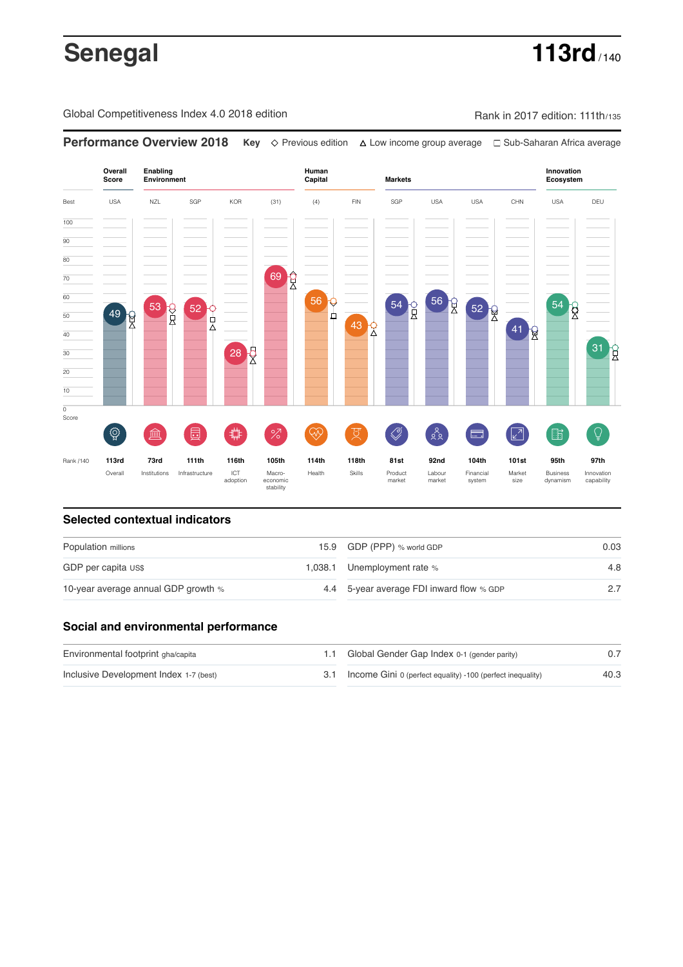# **Senegal 113rd** / 140

Global Competitiveness Index 4.0 2018 edition Rank in 2017 edition: 111th/135



### **Selected contextual indicators**

| Population millions                 | 15.9 GDP (PPP) % world GDP               | 0.03 |  |
|-------------------------------------|------------------------------------------|------|--|
| GDP per capita US\$                 | 1,038.1 Unemployment rate %              | 4.8  |  |
| 10-year average annual GDP growth % | 4.4 5-year average FDI inward flow % GDP | 27   |  |

### **Social and environmental performance**

| Environmental footprint gha/capita     | 1.1 Global Gender Gap Index 0-1 (gender parity)                |      |
|----------------------------------------|----------------------------------------------------------------|------|
| Inclusive Development Index 1-7 (best) | 3.1 Income Gini 0 (perfect equality) -100 (perfect inequality) | 40.3 |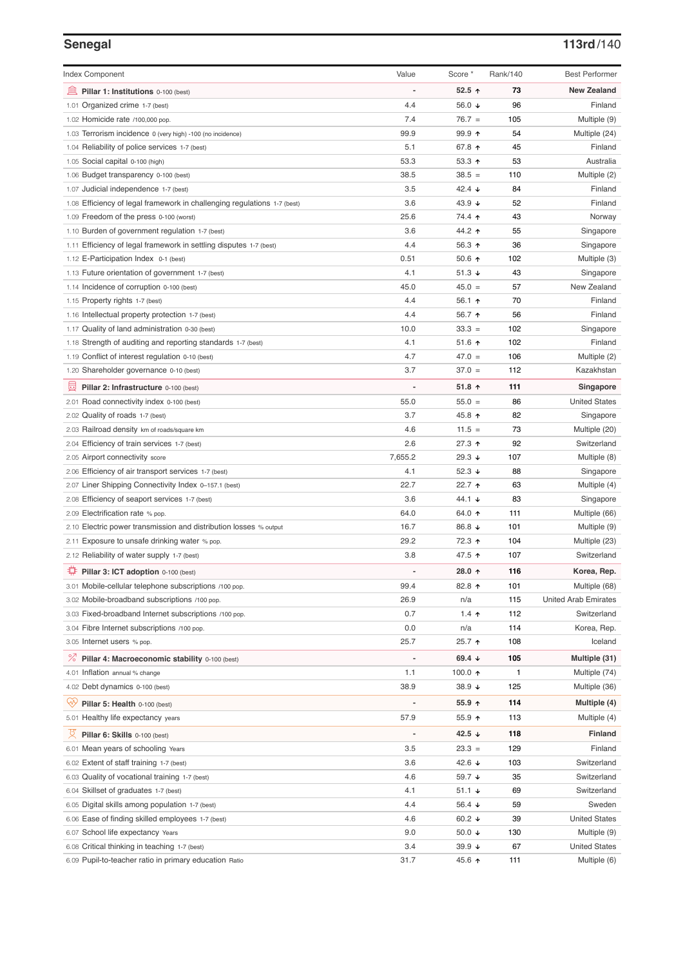# **Senegal 113rd**/140

| <b>Index Component</b>                                                                       | Value        | Score *          | Rank/140 | <b>Best Performer</b>        |
|----------------------------------------------------------------------------------------------|--------------|------------------|----------|------------------------------|
| 無<br>Pillar 1: Institutions 0-100 (best)                                                     |              | 52.5 $\uparrow$  | 73       | <b>New Zealand</b>           |
| 1.01 Organized crime 1-7 (best)                                                              | 4.4          | 56.0 ↓           | 96       | Finland                      |
| 1.02 Homicide rate /100,000 pop.                                                             | 7.4          | $76.7 =$         | 105      | Multiple (9)                 |
| 1.03 Terrorism incidence 0 (very high) -100 (no incidence)                                   | 99.9         | $99.9$ 1         | 54       | Multiple (24)                |
| 1.04 Reliability of police services 1-7 (best)                                               | 5.1          | 67.8 ↑           | 45       | Finland                      |
| 1.05 Social capital 0-100 (high)                                                             | 53.3         | 53.3 $\uparrow$  | 53       | Australia                    |
| 1.06 Budget transparency 0-100 (best)                                                        | 38.5         | $38.5 =$         | 110      | Multiple (2)                 |
| 1.07 Judicial independence 1-7 (best)                                                        | 3.5          | 42.4 $\sqrt{ }$  | 84       | Finland                      |
| 1.08 Efficiency of legal framework in challenging regulations 1-7 (best)                     | 3.6          | 43.9 $\sqrt{ }$  | 52       | Finland                      |
| 1.09 Freedom of the press 0-100 (worst)                                                      | 25.6         | 74.4 ተ           | 43       | Norway                       |
| 1.10 Burden of government regulation 1-7 (best)                                              | 3.6          | 44.2 ↑           | 55       | Singapore                    |
| 1.11 Efficiency of legal framework in settling disputes 1-7 (best)                           | 4.4          | 56.3 $\uparrow$  | 36       | Singapore                    |
| 1.12 E-Participation Index 0-1 (best)                                                        | 0.51         | 50.6 $\uparrow$  | 102      | Multiple (3)                 |
| 1.13 Future orientation of government 1-7 (best)                                             | 4.1          | 51.3 $\sqrt{ }$  | 43       | Singapore                    |
| 1.14 Incidence of corruption 0-100 (best)                                                    | 45.0         | $45.0 =$         | 57       | New Zealand                  |
| 1.15 Property rights 1-7 (best)                                                              | 4.4          | 56.1 $\uparrow$  | 70       | Finland                      |
| 1.16 Intellectual property protection 1-7 (best)                                             | 4.4          | 56.7 ↑           | 56       | Finland                      |
| 1.17 Quality of land administration 0-30 (best)                                              | 10.0         | $33.3 =$         | 102      | Singapore                    |
| 1.18 Strength of auditing and reporting standards 1-7 (best)                                 | 4.1          | 51.6 $\uparrow$  | 102      | Finland                      |
| 1.19 Conflict of interest regulation 0-10 (best)                                             | 4.7          | $47.0 =$         | 106      | Multiple (2)                 |
| 1.20 Shareholder governance 0-10 (best)                                                      | 3.7          | $37.0 =$         | 112      | Kazakhstan                   |
| 囩                                                                                            |              | $51.8$ ^         | 111      | Singapore                    |
| Pillar 2: Infrastructure 0-100 (best)                                                        | 55.0         | $55.0 =$         | 86       | <b>United States</b>         |
| 2.01 Road connectivity index 0-100 (best)                                                    | 3.7          | 45.8 个           | 82       |                              |
| 2.02 Quality of roads 1-7 (best)                                                             |              |                  | 73       | Singapore                    |
| 2.03 Railroad density km of roads/square km                                                  | 4.6          | $11.5 =$         |          | Multiple (20)                |
| 2.04 Efficiency of train services 1-7 (best)                                                 | 2.6          | 27.3 ↑           | 92       | Switzerland                  |
| 2.05 Airport connectivity score                                                              | 7,655.2      | 29.3 $\sqrt{ }$  | 107      | Multiple (8)                 |
| 2.06 Efficiency of air transport services 1-7 (best)                                         | 4.1<br>22.7  | 52.3 $\sqrt{ }$  | 88       | Singapore                    |
| 2.07 Liner Shipping Connectivity Index 0-157.1 (best)                                        |              | 22.7 ↑           | 63       | Multiple (4)                 |
| 2.08 Efficiency of seaport services 1-7 (best)                                               | 3.6          | 44.1 $\sqrt{ }$  | 83       | Singapore                    |
| 2.09 Electrification rate % pop.                                                             | 64.0         | 64.0 ↑           | 111      | Multiple (66)                |
| 2.10 Electric power transmission and distribution losses % output                            | 16.7<br>29.2 | 86.8 ↓           | 101      | Multiple (9)                 |
| 2.11 Exposure to unsafe drinking water % pop.<br>2.12 Reliability of water supply 1-7 (best) |              | 72.3 ↑           | 104      | Multiple (23)<br>Switzerland |
|                                                                                              | 3.8          | 47.5 ↑           | 107      |                              |
| ₩<br>Pillar 3: ICT adoption 0-100 (best)                                                     |              | 28.0 $\uparrow$  | 116      | Korea, Rep.                  |
| 3.01 Mobile-cellular telephone subscriptions /100 pop.                                       | 99.4         | 82.8 个           | 101      | Multiple (68)                |
| 3.02 Mobile-broadband subscriptions /100 pop.                                                | 26.9         | n/a              | 115      | <b>United Arab Emirates</b>  |
| 3.03 Fixed-broadband Internet subscriptions /100 pop.                                        | 0.7          | 1.4 $\uparrow$   | 112      | Switzerland                  |
| 3.04 Fibre Internet subscriptions /100 pop.                                                  | 0.0          | n/a              | 114      | Korea, Rep.                  |
| 3.05 Internet users % pop.                                                                   | 25.7         | 25.7 ↑           | 108      | Iceland                      |
| <sup>%</sup> Pillar 4: Macroeconomic stability 0-100 (best)                                  |              | 69.4 $\sqrt{ }$  | 105      | Multiple (31)                |
| 4.01 Inflation annual % change                                                               | 1.1          | 100.0 $\uparrow$ | 1        | Multiple (74)                |
| 4.02 Debt dynamics 0-100 (best)                                                              | 38.9         | 38.9 ↓           | 125      | Multiple (36)                |
| ųÿ<br>Pillar 5: Health 0-100 (best)                                                          |              | $55.9$ 1         | 114      | Multiple (4)                 |
| 5.01 Healthy life expectancy years                                                           | 57.9         | 55.9 个           | 113      | Multiple (4)                 |
| 섯<br>Pillar 6: Skills 0-100 (best)                                                           |              | 42.5 $\sqrt{ }$  | 118      | <b>Finland</b>               |
| 6.01 Mean years of schooling Years                                                           | 3.5          | $23.3 =$         | 129      | Finland                      |
| 6.02 Extent of staff training 1-7 (best)                                                     | 3.6          | 42.6 ↓           | 103      | Switzerland                  |
| 6.03 Quality of vocational training 1-7 (best)                                               | 4.6          | 59.7 ↓           | 35       | Switzerland                  |
| 6.04 Skillset of graduates 1-7 (best)                                                        | 4.1          | $51.1 +$         | 69       | Switzerland                  |
| 6.05 Digital skills among population 1-7 (best)                                              | 4.4          | 56.4 $\sqrt{ }$  | 59       | Sweden                       |
| Ease of finding skilled employees 1-7 (best)<br>6.06                                         | 4.6          | 60.2 $\sqrt{ }$  | 39       | <b>United States</b>         |
| School life expectancy Years<br>6.07                                                         | 9.0          | 50.0 $\sqrt{ }$  | 130      | Multiple (9)                 |
| 6.08 Critical thinking in teaching 1-7 (best)                                                | 3.4          | 39.9 $\sqrt{ }$  | 67       | <b>United States</b>         |
| 6.09 Pupil-to-teacher ratio in primary education Ratio                                       | 31.7         | 45.6 ↑           | 111      | Multiple (6)                 |